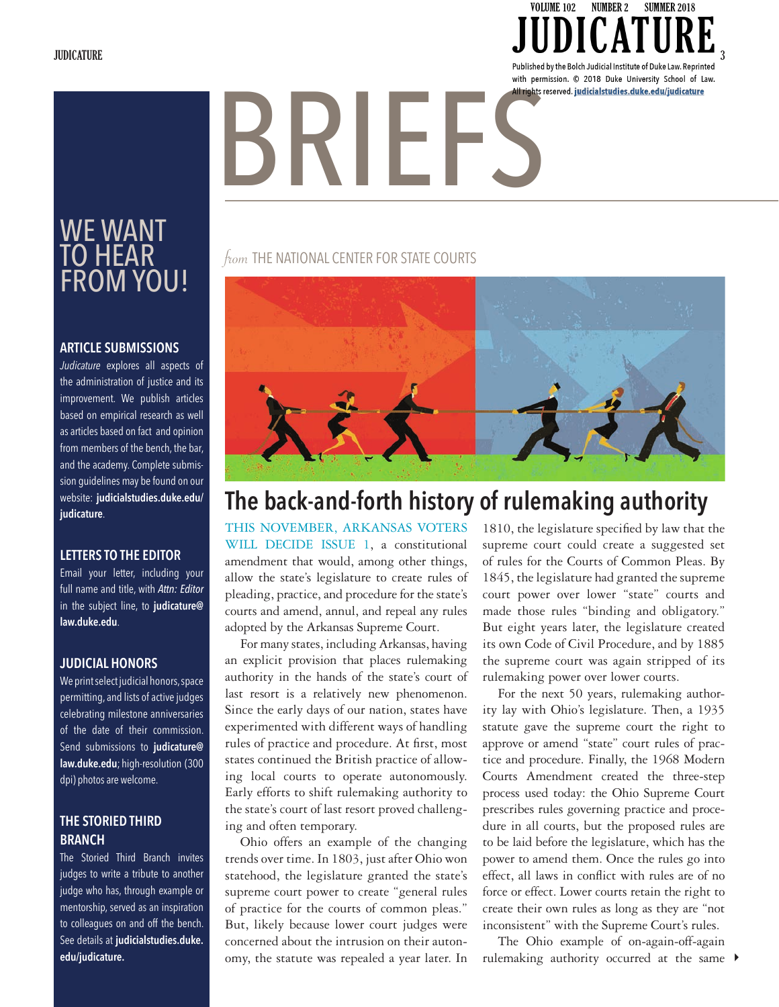JUDICATURE  $\overline{\phantom{a}}$   $\overline{\phantom{a}}$   $\overline{\phantom{a}}$   $\overline{\phantom{a}}$   $\overline{\phantom{a}}$   $\overline{\phantom{a}}$   $\overline{\phantom{a}}$   $\overline{\phantom{a}}$   $\overline{\phantom{a}}$   $\overline{\phantom{a}}$   $\overline{\phantom{a}}$   $\overline{\phantom{a}}$   $\overline{\phantom{a}}$   $\overline{\phantom{a}}$   $\overline{\phantom{a}}$   $\overline{\phantom{a}}$   $\overline{\phantom{a}}$   $\overline{\phant$ 

**SUMMER 2018** 

VOLUME 102 NUMBER 2

# with permission. © 2018 Duke University School of Law.<br>All rights reserved. judicialstudies.duke.edu/judicature<br>All rights reserved. <u>indicialstudies.duke.edu/judicature</u>

#### WE WANT TO HEAR FROM YOU!

#### **ARTICLE SUBMISSIONS**

*Judicature* explores all aspects of the administration of justice and its improvement. We publish articles based on empirical research as well as articles based on fact and opinion from members of the bench, the bar, and the academy. Complete submission guidelines may be found on our website: **judicialstudies.duke.edu/ judicature**.

#### **LETTERS TO THE EDITOR**

Email your letter, including your full name and title, with *Attn: Editor* in the subject line, to **judicature@ law.duke.edu**.

#### **JUDICIAL HONORS**

We print select judicial honors, space permitting, and lists of active judges celebrating milestone anniversaries of the date of their commission. Send submissions to **judicature@ law.duke.edu**; high-resolution (300 dpi) photos are welcome.

#### **THE STORIED THIRD BRANCH**

The Storied Third Branch invites judges to write a tribute to another judge who has, through example or mentorship, served as an inspiration to colleagues on and off the bench. See details at **judicialstudies.duke. edu/judicature.**

#### from THE NATIONAL CENTER FOR STATE COURTS



#### **The back-and-forth history of rulemaking authority**

THIS NOVEMBER, ARKANSAS VOTERS WILL DECIDE ISSUE 1, a constitutional amendment that would, among other things, allow the state's legislature to create rules of pleading, practice, and procedure for the state's courts and amend, annul, and repeal any rules adopted by the Arkansas Supreme Court.

For many states, including Arkansas, having an explicit provision that places rulemaking authority in the hands of the state's court of last resort is a relatively new phenomenon. Since the early days of our nation, states have experimented with different ways of handling rules of practice and procedure. At first, most states continued the British practice of allowing local courts to operate autonomously. Early efforts to shift rulemaking authority to the state's court of last resort proved challenging and often temporary.

Ohio offers an example of the changing trends over time. In 1803, just after Ohio won statehood, the legislature granted the state's supreme court power to create "general rules of practice for the courts of common pleas." But, likely because lower court judges were concerned about the intrusion on their autonomy, the statute was repealed a year later. In

1810, the legislature specified by law that the supreme court could create a suggested set of rules for the Courts of Common Pleas. By 1845, the legislature had granted the supreme court power over lower "state" courts and made those rules "binding and obligatory." But eight years later, the legislature created its own Code of Civil Procedure, and by 1885 the supreme court was again stripped of its rulemaking power over lower courts.

For the next 50 years, rulemaking authority lay with Ohio's legislature. Then, a 1935 statute gave the supreme court the right to approve or amend "state" court rules of practice and procedure. Finally, the 1968 Modern Courts Amendment created the three-step process used today: the Ohio Supreme Court prescribes rules governing practice and procedure in all courts, but the proposed rules are to be laid before the legislature, which has the power to amend them. Once the rules go into effect, all laws in conflict with rules are of no force or effect. Lower courts retain the right to create their own rules as long as they are "not inconsistent" with the Supreme Court's rules.

rulemaking authority occurred at the same  $\blacktriangleright$ The Ohio example of on-again-off-again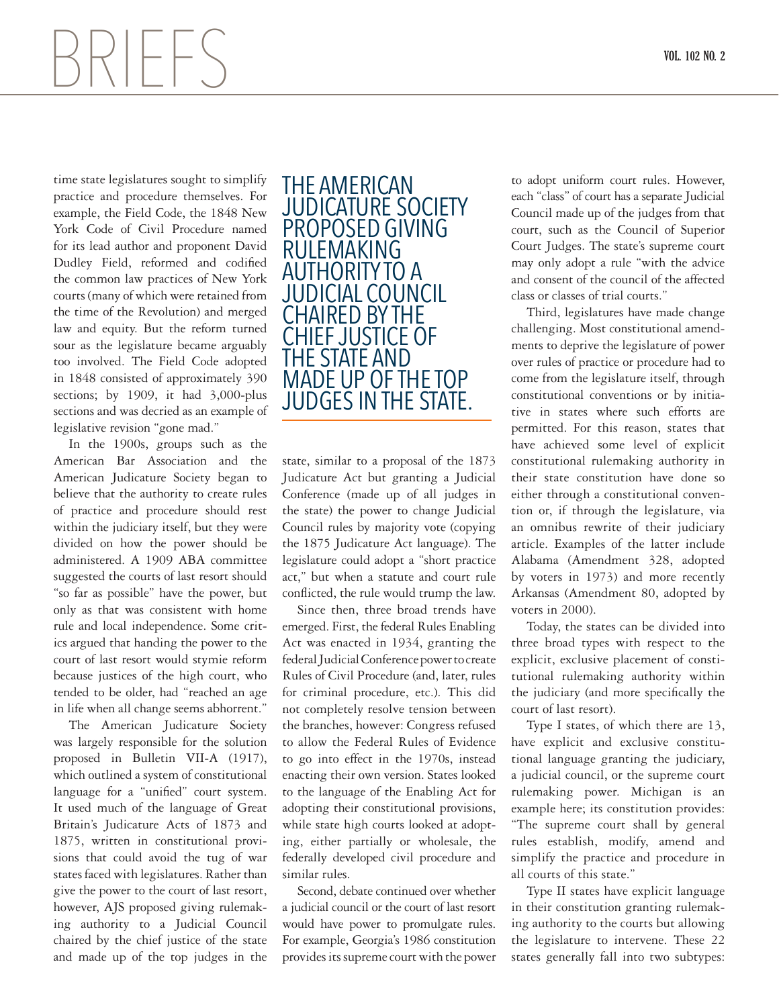## $\left\{\left\{\left\{\right\}\right\}\right\}$  **b**  $\left\{\left\{\right\}\right\}$  **b**  $\left\{\left\{\right\}$  **b**  $\left\{\left\{\right\}\right\}$  **b**  $\left\{\left\{\right\}\right\}$  **b**  $\left\{\left\{\right\}\right\}$  **b**  $\left\{\left\{\left\{\right\}\right\}$  **b**  $\left\{\left\{\left\{\right\}\right\}\right\}$  **b**  $\left\{\left\{\left\{\right\}\right\}\right\}$  **b**  $\left\{\left\{\left\{\left\{\right\}\right\}\right\}\$

time state legislatures sought to simplify practice and procedure themselves. For example, the Field Code, the 1848 New York Code of Civil Procedure named for its lead author and proponent David Dudley Field, reformed and codified the common law practices of New York courts (many of which were retained from the time of the Revolution) and merged law and equity. But the reform turned sour as the legislature became arguably too involved. The Field Code adopted in 1848 consisted of approximately 390 sections; by 1909, it had 3,000-plus sections and was decried as an example of legislative revision "gone mad."

In the 1900s, groups such as the American Bar Association and the American Judicature Society began to believe that the authority to create rules of practice and procedure should rest within the judiciary itself, but they were divided on how the power should be administered. A 1909 ABA committee suggested the courts of last resort should "so far as possible" have the power, but only as that was consistent with home rule and local independence. Some critics argued that handing the power to the court of last resort would stymie reform because justices of the high court, who tended to be older, had "reached an age in life when all change seems abhorrent."

The American Judicature Society was largely responsible for the solution proposed in Bulletin VII-A (1917), which outlined a system of constitutional language for a "unified" court system. It used much of the language of Great Britain's Judicature Acts of 1873 and 1875, written in constitutional provisions that could avoid the tug of war states faced with legislatures. Rather than give the power to the court of last resort, however, AJS proposed giving rulemaking authority to a Judicial Council chaired by the chief justice of the state and made up of the top judges in the



state, similar to a proposal of the 1873 Judicature Act but granting a Judicial Conference (made up of all judges in the state) the power to change Judicial Council rules by majority vote (copying the 1875 Judicature Act language). The legislature could adopt a "short practice act," but when a statute and court rule conflicted, the rule would trump the law.

Since then, three broad trends have emerged. First, the federal Rules Enabling Act was enacted in 1934, granting the federal Judicial Conference power to create Rules of Civil Procedure (and, later, rules for criminal procedure, etc.). This did not completely resolve tension between the branches, however: Congress refused to allow the Federal Rules of Evidence to go into effect in the 1970s, instead enacting their own version. States looked to the language of the Enabling Act for adopting their constitutional provisions, while state high courts looked at adopting, either partially or wholesale, the federally developed civil procedure and similar rules.

Second, debate continued over whether a judicial council or the court of last resort would have power to promulgate rules. For example, Georgia's 1986 constitution provides its supreme court with the power

to adopt uniform court rules. However, each "class" of court has a separate Judicial Council made up of the judges from that court, such as the Council of Superior Court Judges. The state's supreme court may only adopt a rule "with the advice and consent of the council of the affected class or classes of trial courts."

Third, legislatures have made change challenging. Most constitutional amendments to deprive the legislature of power over rules of practice or procedure had to come from the legislature itself, through constitutional conventions or by initiative in states where such efforts are permitted. For this reason, states that have achieved some level of explicit constitutional rulemaking authority in their state constitution have done so either through a constitutional convention or, if through the legislature, via an omnibus rewrite of their judiciary article. Examples of the latter include Alabama (Amendment 328, adopted by voters in 1973) and more recently Arkansas (Amendment 80, adopted by voters in 2000).

Today, the states can be divided into three broad types with respect to the explicit, exclusive placement of constitutional rulemaking authority within the judiciary (and more specifically the court of last resort).

Type I states, of which there are 13, have explicit and exclusive constitutional language granting the judiciary, a judicial council, or the supreme court rulemaking power. Michigan is an example here; its constitution provides: "The supreme court shall by general rules establish, modify, amend and simplify the practice and procedure in all courts of this state."

Type II states have explicit language in their constitution granting rulemaking authority to the courts but allowing the legislature to intervene. These 22 states generally fall into two subtypes: